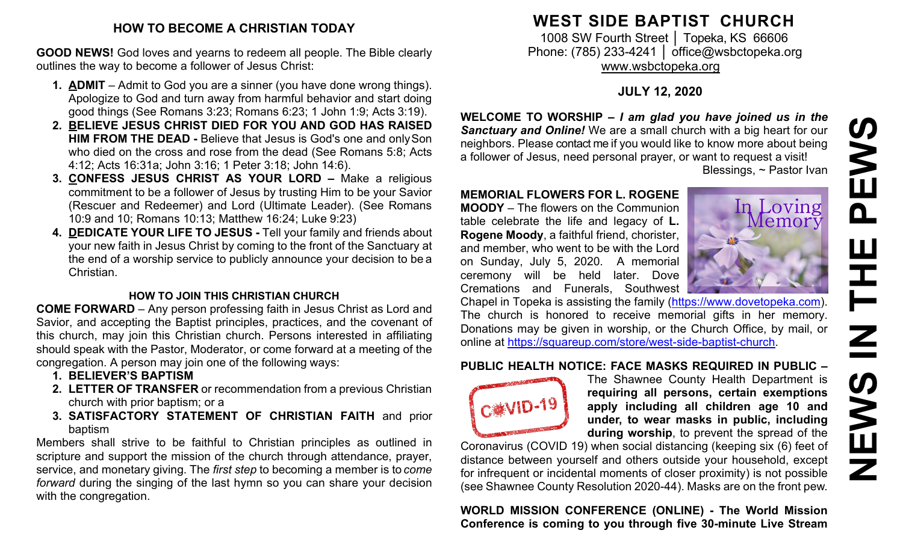#### **HOW TO BECOME A CHRISTIAN TODAY**

**GOOD NEWS!** God loves and yearns to redeem all people. The Bible clearly outlines the way to become a follower of Jesus Christ:

- **1. ADMIT**  Admit to God you are a sinner (you have done wrong things). Apologize to God and turn away from harmful behavior and start doing good things (See Romans 3:23; Romans 6:23; 1 John 1:9; Acts 3:19).
- **2. BELIEVE JESUS CHRIST DIED FOR YOU AND GOD HAS RAISED HIM FROM THE DEAD -** Believe that Jesus is God's one and onlySon who died on the cross and rose from the dead (See Romans 5:8; Acts 4:12; Acts 16:31a; John 3:16; 1 Peter 3:18; John 14:6).
- **3. CONFESS JESUS CHRIST AS YOUR LORD –** Make a religious commitment to be a follower of Jesus by trusting Him to be your Savior (Rescuer and Redeemer) and Lord (Ultimate Leader). (See Romans 10:9 and 10; Romans 10:13; Matthew 16:24; Luke 9:23)
- **4. DEDICATE YOUR LIFE TO JESUS -** Tell your family and friends about your new faith in Jesus Christ by coming to the front of the Sanctuary at the end of a worship service to publicly announce your decision to be a Christian.

#### **HOW TO JOIN THIS CHRISTIAN CHURCH**

**COME FORWARD** – Any person professing faith in Jesus Christ as Lord and Savior, and accepting the Baptist principles, practices, and the covenant of this church, may join this Christian church. Persons interested in affiliating should speak with the Pastor, Moderator, or come forward at a meeting of the congregation. A person may join one of the following ways:

- **1. BELIEVER'S BAPTISM**
- **2. LETTER OF TRANSFER** or recommendation from a previous Christian church with prior baptism; or a
- **3. SATISFACTORY STATEMENT OF CHRISTIAN FAITH** and prior baptism

Members shall strive to be faithful to Christian principles as outlined in scripture and support the mission of the church through attendance, prayer, service, and monetary giving. The *first step* to becoming a member is to *come forward* during the singing of the last hymn so you can share your decision with the congregation.

### **WEST SIDE BAPTIST CHURCH**

1008 SW Fourth Street | Topeka, KS 66606 Phone: (785) 233-4241 │ [office@wsbctopeka.org](mailto:office@wsbctopeka.org) [www.wsbctopeka.org](http://www.wsbctopeka.org/)

#### **JULY 12, 2020**

**WELCOME TO WORSHIP –** *I am glad you have joined us in the Sanctuary and Online!* We are a small church with a big heart for our neighbors. Please contact me if you would like to know more about being a follower of Jesus, need personal prayer, or want to request a visit! Blessings, ~ Pastor Ivan

#### **MEMORIAL FLOWERS FOR L. ROGENE**

**MOODY** – The flowers on the Communion table celebrate the life and legacy of **L. Rogene Moody**, a faithful friend, chorister, and member, who went to be with the Lord on Sunday, July 5, 2020. A memorial ceremony will be held later. Dove Cremations and Funerals, Southwest



Chapel in Topeka is assisting the family [\(https://www.dovetopeka.com\)](https://www.dovetopeka.com/). The church is honored to receive memorial gifts in her memory. Donations may be given in worship, or the Church Office, by mail, or online at [https://squareup.com/store/west-side-baptist-church.](https://squareup.com/store/west-side-baptist-church)

#### **PUBLIC HEALTH NOTICE: FACE MASKS REQUIRED IN PUBLIC –**



The Shawnee County Health Department is **requiring all persons, certain exemptions apply including all children age 10 and under, to wear masks in public, including during worship**, to prevent the spread of the

Coronavirus (COVID 19) when social distancing (keeping six (6) feet of distance between yourself and others outside your household, except for infrequent or incidental moments of closer proximity) is not possible (see Shawnee County Resolution 2020-44). Masks are on the front pew.

**WORLD MISSION CONFERENCE (ONLINE) - The World Mission Conference is coming to you through five 30-minute Live Stream**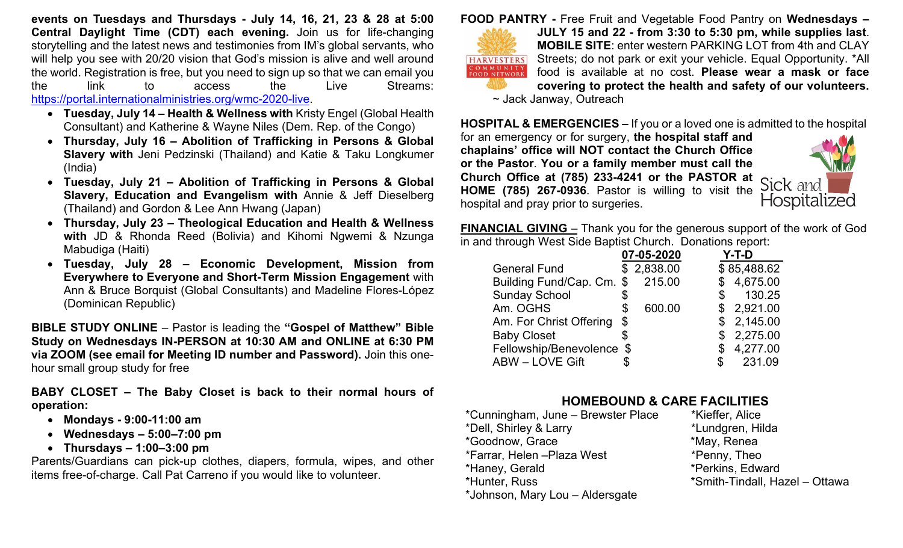**events on Tuesdays and Thursdays - July 14, 16, 21, 23 & 28 at 5:00 Central Daylight Time (CDT) each evening.** Join us for life-changing storytelling and the latest news and testimonies from IM's global servants, who will help you see with 20/20 vision that God's mission is alive and well around the world. Registration is free, but you need to sign up so that we can email you the link to access the Live Streams: [https://portal.internationalministries.org/wmc-2020-live.](https://portal.internationalministries.org/wmc-2020-live)

- **Tuesday, July 14 – Health & Wellness with** Kristy Engel (Global Health Consultant) and Katherine & Wayne Niles (Dem. Rep. of the Congo)
- **Thursday, July 16 – Abolition of Trafficking in Persons & Global Slavery with** Jeni Pedzinski (Thailand) and Katie & Taku Longkumer (India)
- **Tuesday, July 21 – Abolition of Trafficking in Persons & Global Slavery, Education and Evangelism with** Annie & Jeff Dieselberg (Thailand) and Gordon & Lee Ann Hwang (Japan)
- **Thursday, July 23 – Theological Education and Health & Wellness with** JD & Rhonda Reed (Bolivia) and Kihomi Ngwemi & Nzunga Mabudiga (Haiti)
- **Tuesday, July 28 – Economic Development, Mission from Everywhere to Everyone and Short-Term Mission Engagement** with Ann & Bruce Borquist (Global Consultants) and Madeline Flores-López (Dominican Republic)

**BIBLE STUDY ONLINE** – Pastor is leading the **"Gospel of Matthew" Bible Study on Wednesdays IN-PERSON at 10:30 AM and ONLINE at 6:30 PM via ZOOM (see email for Meeting ID number and Password).** Join this onehour small group study for free

**BABY CLOSET – The Baby Closet is back to their normal hours of operation:** 

- **Mondays - 9:00-11:00 am**
- **Wednesdays – 5:00–7:00 pm**
- **Thursdays – 1:00–3:00 pm**

Parents/Guardians can pick-up clothes, diapers, formula, wipes, and other items free-of-charge. Call Pat Carreno if you would like to volunteer.

**FOOD PANTRY -** Free Fruit and Vegetable Food Pantry on **Wednesdays –**



**JULY 15 and 22 - from 3:30 to 5:30 pm, while supplies last**. **MOBILE SITE**: enter western PARKING LOT from 4th and CLAY Streets; do not park or exit your vehicle. Equal Opportunity. \*All food is available at no cost. **Please wear a mask or face covering to protect the health and safety of our volunteers.**

~ Jack Janway, Outreach

**HOSPITAL & EMERGENCIES –** If you or a loved one is admitted to the hospital

for an emergency or for surgery, **the hospital staff and chaplains' office will NOT contact the Church Office or the Pastor**. **You or a family member must call the Church Office at (785) 233-4241 or the PASTOR at HOME (785) 267-0936**. Pastor is willing to visit the hospital and pray prior to surgeries.



**FINANCIAL GIVING** – Thank you for the generous support of the work of God in and through West Side Baptist Church. Donations report:

|                           | 07-05-2020 |            |              | Y-T-D       |  |
|---------------------------|------------|------------|--------------|-------------|--|
| <b>General Fund</b>       |            | \$2,838.00 |              | \$85,488.62 |  |
| Building Fund/Cap. Cm. \$ |            | 215.00     |              | \$4,675.00  |  |
| <b>Sunday School</b>      | \$         |            |              | 130.25      |  |
| Am. OGHS                  | \$         | 600.00     |              | \$2,921.00  |  |
| Am. For Christ Offering   | \$         |            |              | \$2,145.00  |  |
| <b>Baby Closet</b>        | \$         |            |              | \$2,275.00  |  |
| Fellowship/Benevolence \$ |            |            | $\mathbb{S}$ | 4,277.00    |  |
| <b>ABW-LOVE Gift</b>      |            |            | \$.          | 231.09      |  |

# **HOMEBOUND & CARE FACILITIES**

- \*Cunningham, June Brewster Place \*Dell, Shirley & Larry \*Lundgren, Hilda \*Goodnow, Grace \*May, Renea \*Farrar, Helen –Plaza West \*Penny, Theo \*Haney, Gerald \*Perkins, Edward \*Hunter, Russ \*Smith-Tindall, Hazel – Ottawa \*Johnson, Mary Lou – Aldersgate
	-